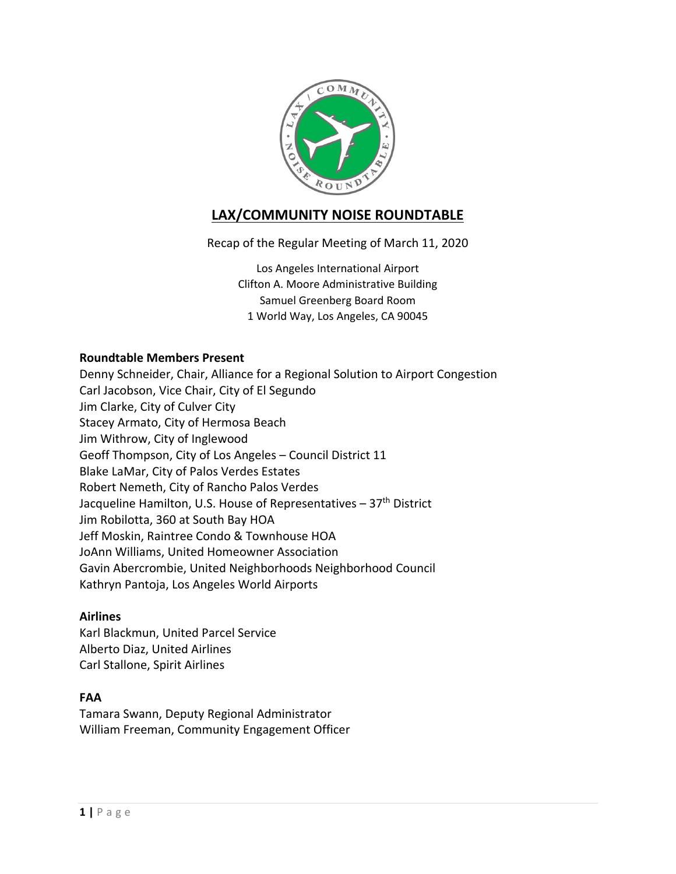

# **LAX/COMMUNITY NOISE ROUNDTABLE**

Recap of the Regular Meeting of March 11, 2020

Los Angeles International Airport Clifton A. Moore Administrative Building Samuel Greenberg Board Room 1 World Way, Los Angeles, CA 90045

#### **Roundtable Members Present**

Denny Schneider, Chair, Alliance for a Regional Solution to Airport Congestion Carl Jacobson, Vice Chair, City of El Segundo Jim Clarke, City of Culver City Stacey Armato, City of Hermosa Beach Jim Withrow, City of Inglewood Geoff Thompson, City of Los Angeles – Council District 11 Blake LaMar, City of Palos Verdes Estates Robert Nemeth, City of Rancho Palos Verdes Jacqueline Hamilton, U.S. House of Representatives - 37<sup>th</sup> District Jim Robilotta, 360 at South Bay HOA Jeff Moskin, Raintree Condo & Townhouse HOA JoAnn Williams, United Homeowner Association Gavin Abercrombie, United Neighborhoods Neighborhood Council Kathryn Pantoja, Los Angeles World Airports

#### **Airlines**

Karl Blackmun, United Parcel Service Alberto Diaz, United Airlines Carl Stallone, Spirit Airlines

#### **FAA**

Tamara Swann, Deputy Regional Administrator William Freeman, Community Engagement Officer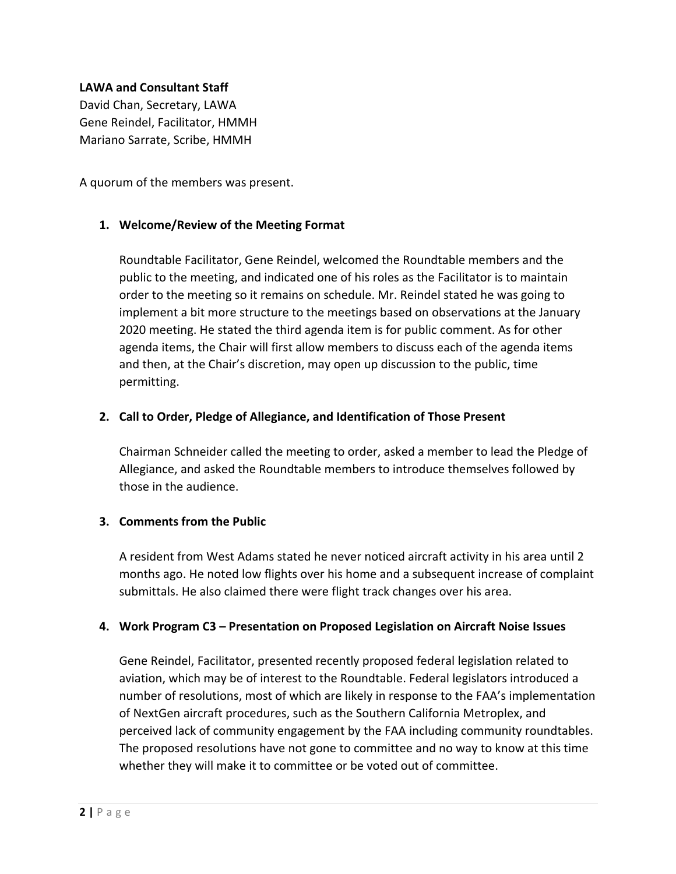#### **LAWA and Consultant Staff**

David Chan, Secretary, LAWA Gene Reindel, Facilitator, HMMH Mariano Sarrate, Scribe, HMMH

A quorum of the members was present.

#### **1. Welcome/Review of the Meeting Format**

Roundtable Facilitator, Gene Reindel, welcomed the Roundtable members and the public to the meeting, and indicated one of his roles as the Facilitator is to maintain order to the meeting so it remains on schedule. Mr. Reindel stated he was going to implement a bit more structure to the meetings based on observations at the January 2020 meeting. He stated the third agenda item is for public comment. As for other agenda items, the Chair will first allow members to discuss each of the agenda items and then, at the Chair's discretion, may open up discussion to the public, time permitting.

#### **2. Call to Order, Pledge of Allegiance, and Identification of Those Present**

Chairman Schneider called the meeting to order, asked a member to lead the Pledge of Allegiance, and asked the Roundtable members to introduce themselves followed by those in the audience.

#### **3. Comments from the Public**

A resident from West Adams stated he never noticed aircraft activity in his area until 2 months ago. He noted low flights over his home and a subsequent increase of complaint submittals. He also claimed there were flight track changes over his area.

#### **4. Work Program C3 – Presentation on Proposed Legislation on Aircraft Noise Issues**

Gene Reindel, Facilitator, presented recently proposed federal legislation related to aviation, which may be of interest to the Roundtable. Federal legislators introduced a number of resolutions, most of which are likely in response to the FAA's implementation of NextGen aircraft procedures, such as the Southern California Metroplex, and perceived lack of community engagement by the FAA including community roundtables. The proposed resolutions have not gone to committee and no way to know at this time whether they will make it to committee or be voted out of committee.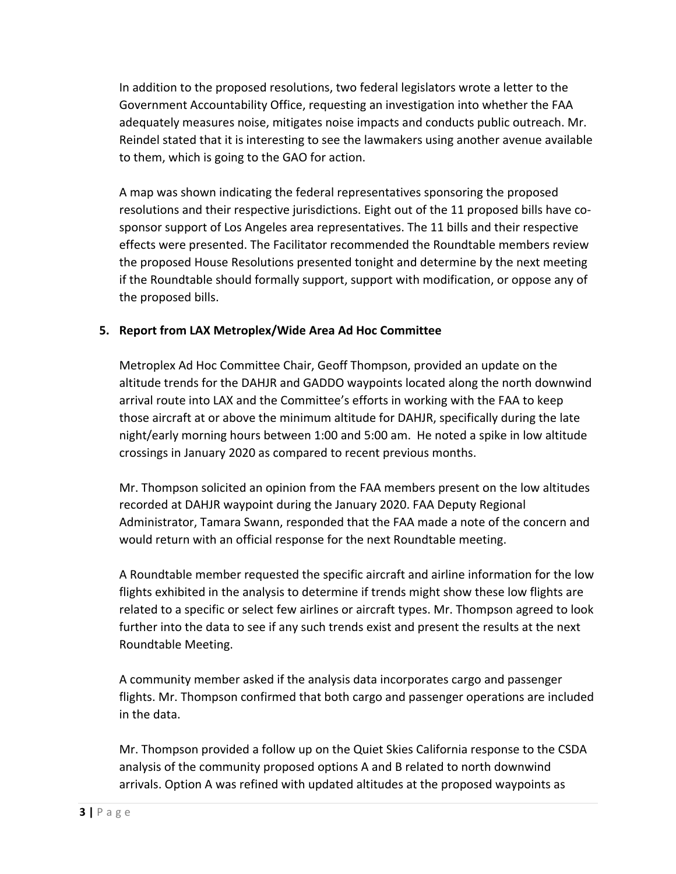In addition to the proposed resolutions, two federal legislators wrote a letter to the Government Accountability Office, requesting an investigation into whether the FAA adequately measures noise, mitigates noise impacts and conducts public outreach. Mr. Reindel stated that it is interesting to see the lawmakers using another avenue available to them, which is going to the GAO for action.

A map was shown indicating the federal representatives sponsoring the proposed resolutions and their respective jurisdictions. Eight out of the 11 proposed bills have cosponsor support of Los Angeles area representatives. The 11 bills and their respective effects were presented. The Facilitator recommended the Roundtable members review the proposed House Resolutions presented tonight and determine by the next meeting if the Roundtable should formally support, support with modification, or oppose any of the proposed bills.

### **5. Report from LAX Metroplex/Wide Area Ad Hoc Committee**

Metroplex Ad Hoc Committee Chair, Geoff Thompson, provided an update on the altitude trends for the DAHJR and GADDO waypoints located along the north downwind arrival route into LAX and the Committee's efforts in working with the FAA to keep those aircraft at or above the minimum altitude for DAHJR, specifically during the late night/early morning hours between 1:00 and 5:00 am. He noted a spike in low altitude crossings in January 2020 as compared to recent previous months.

Mr. Thompson solicited an opinion from the FAA members present on the low altitudes recorded at DAHJR waypoint during the January 2020. FAA Deputy Regional Administrator, Tamara Swann, responded that the FAA made a note of the concern and would return with an official response for the next Roundtable meeting.

A Roundtable member requested the specific aircraft and airline information for the low flights exhibited in the analysis to determine if trends might show these low flights are related to a specific or select few airlines or aircraft types. Mr. Thompson agreed to look further into the data to see if any such trends exist and present the results at the next Roundtable Meeting.

A community member asked if the analysis data incorporates cargo and passenger flights. Mr. Thompson confirmed that both cargo and passenger operations are included in the data.

Mr. Thompson provided a follow up on the Quiet Skies California response to the CSDA analysis of the community proposed options A and B related to north downwind arrivals. Option A was refined with updated altitudes at the proposed waypoints as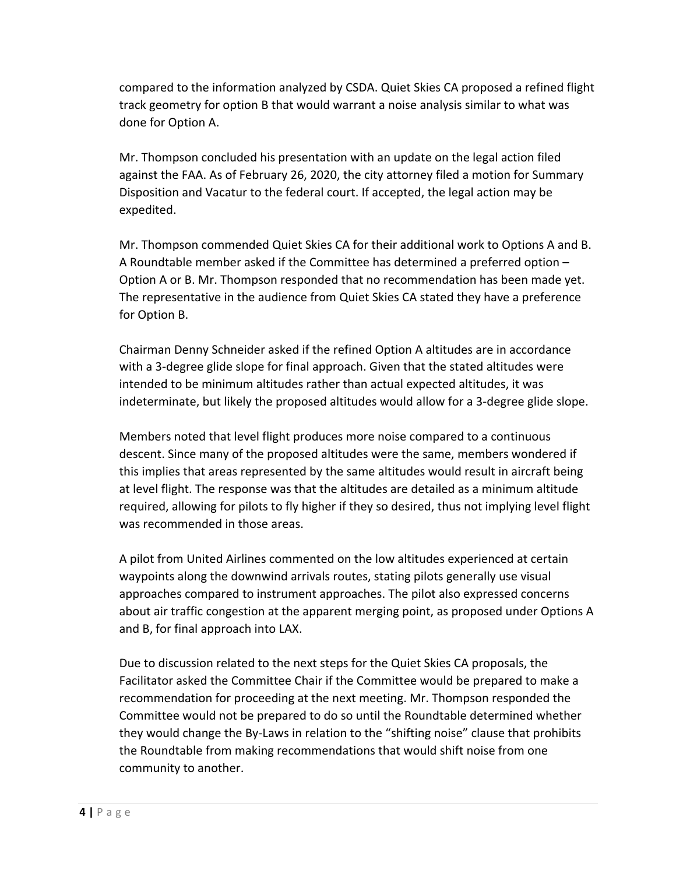compared to the information analyzed by CSDA. Quiet Skies CA proposed a refined flight track geometry for option B that would warrant a noise analysis similar to what was done for Option A.

Mr. Thompson concluded his presentation with an update on the legal action filed against the FAA. As of February 26, 2020, the city attorney filed a motion for Summary Disposition and Vacatur to the federal court. If accepted, the legal action may be expedited.

Mr. Thompson commended Quiet Skies CA for their additional work to Options A and B. A Roundtable member asked if the Committee has determined a preferred option – Option A or B. Mr. Thompson responded that no recommendation has been made yet. The representative in the audience from Quiet Skies CA stated they have a preference for Option B.

Chairman Denny Schneider asked if the refined Option A altitudes are in accordance with a 3-degree glide slope for final approach. Given that the stated altitudes were intended to be minimum altitudes rather than actual expected altitudes, it was indeterminate, but likely the proposed altitudes would allow for a 3-degree glide slope.

Members noted that level flight produces more noise compared to a continuous descent. Since many of the proposed altitudes were the same, members wondered if this implies that areas represented by the same altitudes would result in aircraft being at level flight. The response was that the altitudes are detailed as a minimum altitude required, allowing for pilots to fly higher if they so desired, thus not implying level flight was recommended in those areas.

A pilot from United Airlines commented on the low altitudes experienced at certain waypoints along the downwind arrivals routes, stating pilots generally use visual approaches compared to instrument approaches. The pilot also expressed concerns about air traffic congestion at the apparent merging point, as proposed under Options A and B, for final approach into LAX.

Due to discussion related to the next steps for the Quiet Skies CA proposals, the Facilitator asked the Committee Chair if the Committee would be prepared to make a recommendation for proceeding at the next meeting. Mr. Thompson responded the Committee would not be prepared to do so until the Roundtable determined whether they would change the By-Laws in relation to the "shifting noise" clause that prohibits the Roundtable from making recommendations that would shift noise from one community to another.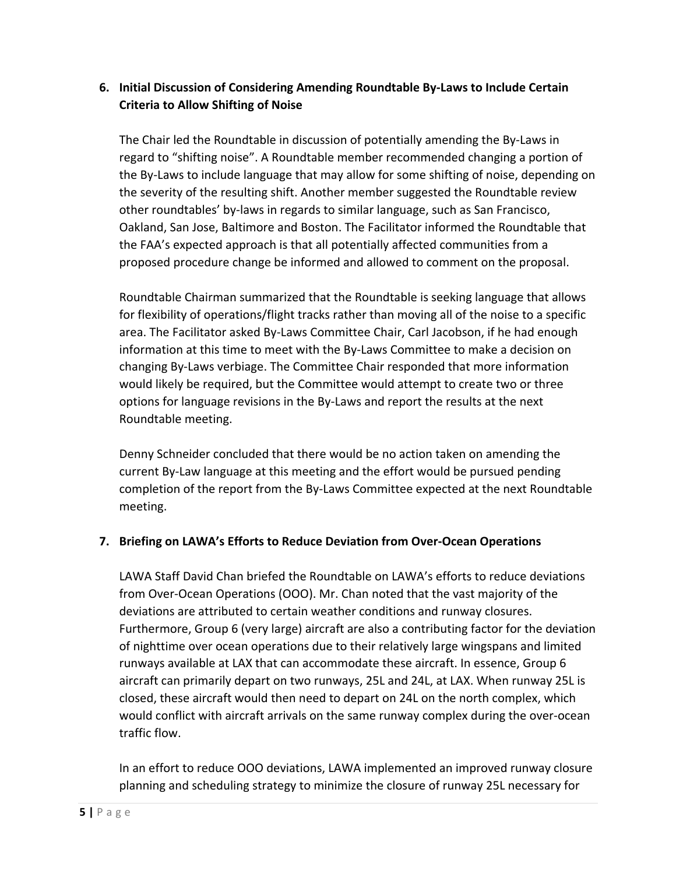## **6. Initial Discussion of Considering Amending Roundtable By-Laws to Include Certain Criteria to Allow Shifting of Noise**

The Chair led the Roundtable in discussion of potentially amending the By-Laws in regard to "shifting noise". A Roundtable member recommended changing a portion of the By-Laws to include language that may allow for some shifting of noise, depending on the severity of the resulting shift. Another member suggested the Roundtable review other roundtables' by-laws in regards to similar language, such as San Francisco, Oakland, San Jose, Baltimore and Boston. The Facilitator informed the Roundtable that the FAA's expected approach is that all potentially affected communities from a proposed procedure change be informed and allowed to comment on the proposal.

Roundtable Chairman summarized that the Roundtable is seeking language that allows for flexibility of operations/flight tracks rather than moving all of the noise to a specific area. The Facilitator asked By-Laws Committee Chair, Carl Jacobson, if he had enough information at this time to meet with the By-Laws Committee to make a decision on changing By-Laws verbiage. The Committee Chair responded that more information would likely be required, but the Committee would attempt to create two or three options for language revisions in the By-Laws and report the results at the next Roundtable meeting.

Denny Schneider concluded that there would be no action taken on amending the current By-Law language at this meeting and the effort would be pursued pending completion of the report from the By-Laws Committee expected at the next Roundtable meeting.

### **7. Briefing on LAWA's Efforts to Reduce Deviation from Over-Ocean Operations**

LAWA Staff David Chan briefed the Roundtable on LAWA's efforts to reduce deviations from Over-Ocean Operations (OOO). Mr. Chan noted that the vast majority of the deviations are attributed to certain weather conditions and runway closures. Furthermore, Group 6 (very large) aircraft are also a contributing factor for the deviation of nighttime over ocean operations due to their relatively large wingspans and limited runways available at LAX that can accommodate these aircraft. In essence, Group 6 aircraft can primarily depart on two runways, 25L and 24L, at LAX. When runway 25L is closed, these aircraft would then need to depart on 24L on the north complex, which would conflict with aircraft arrivals on the same runway complex during the over-ocean traffic flow.

In an effort to reduce OOO deviations, LAWA implemented an improved runway closure planning and scheduling strategy to minimize the closure of runway 25L necessary for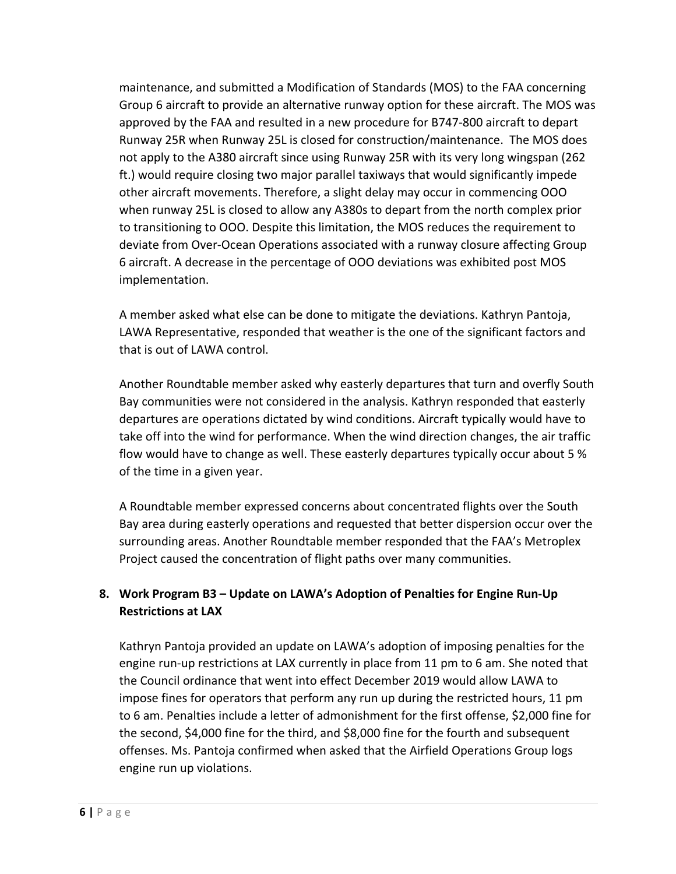maintenance, and submitted a Modification of Standards (MOS) to the FAA concerning Group 6 aircraft to provide an alternative runway option for these aircraft. The MOS was approved by the FAA and resulted in a new procedure for B747-800 aircraft to depart Runway 25R when Runway 25L is closed for construction/maintenance. The MOS does not apply to the A380 aircraft since using Runway 25R with its very long wingspan (262 ft.) would require closing two major parallel taxiways that would significantly impede other aircraft movements. Therefore, a slight delay may occur in commencing OOO when runway 25L is closed to allow any A380s to depart from the north complex prior to transitioning to OOO. Despite this limitation, the MOS reduces the requirement to deviate from Over-Ocean Operations associated with a runway closure affecting Group 6 aircraft. A decrease in the percentage of OOO deviations was exhibited post MOS implementation.

A member asked what else can be done to mitigate the deviations. Kathryn Pantoja, LAWA Representative, responded that weather is the one of the significant factors and that is out of LAWA control.

Another Roundtable member asked why easterly departures that turn and overfly South Bay communities were not considered in the analysis. Kathryn responded that easterly departures are operations dictated by wind conditions. Aircraft typically would have to take off into the wind for performance. When the wind direction changes, the air traffic flow would have to change as well. These easterly departures typically occur about 5 % of the time in a given year.

A Roundtable member expressed concerns about concentrated flights over the South Bay area during easterly operations and requested that better dispersion occur over the surrounding areas. Another Roundtable member responded that the FAA's Metroplex Project caused the concentration of flight paths over many communities.

## **8. Work Program B3 – Update on LAWA's Adoption of Penalties for Engine Run-Up Restrictions at LAX**

Kathryn Pantoja provided an update on LAWA's adoption of imposing penalties for the engine run-up restrictions at LAX currently in place from 11 pm to 6 am. She noted that the Council ordinance that went into effect December 2019 would allow LAWA to impose fines for operators that perform any run up during the restricted hours, 11 pm to 6 am. Penalties include a letter of admonishment for the first offense, \$2,000 fine for the second, \$4,000 fine for the third, and \$8,000 fine for the fourth and subsequent offenses. Ms. Pantoja confirmed when asked that the Airfield Operations Group logs engine run up violations.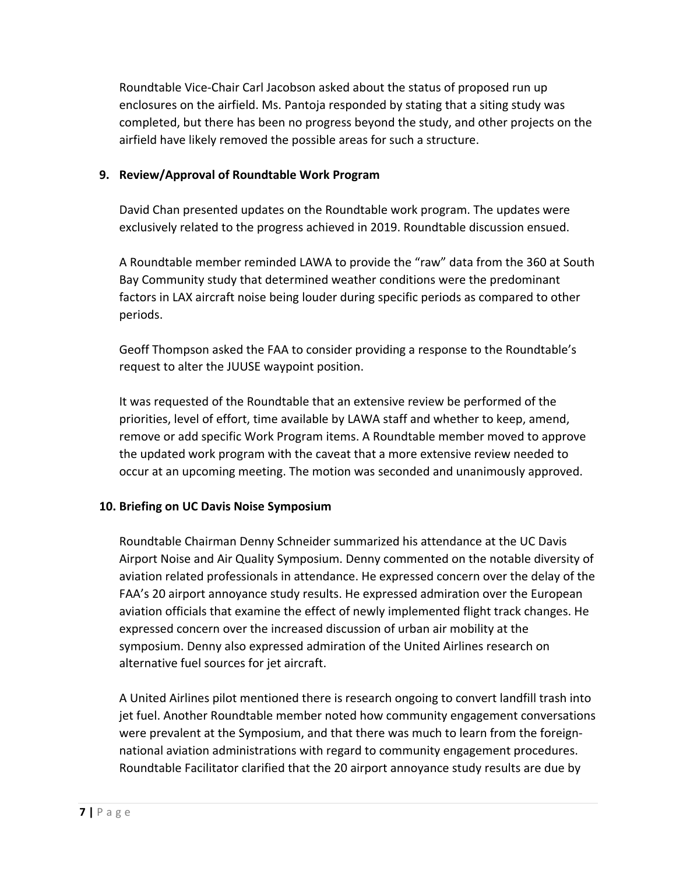Roundtable Vice-Chair Carl Jacobson asked about the status of proposed run up enclosures on the airfield. Ms. Pantoja responded by stating that a siting study was completed, but there has been no progress beyond the study, and other projects on the airfield have likely removed the possible areas for such a structure.

### **9. Review/Approval of Roundtable Work Program**

David Chan presented updates on the Roundtable work program. The updates were exclusively related to the progress achieved in 2019. Roundtable discussion ensued.

A Roundtable member reminded LAWA to provide the "raw" data from the 360 at South Bay Community study that determined weather conditions were the predominant factors in LAX aircraft noise being louder during specific periods as compared to other periods.

Geoff Thompson asked the FAA to consider providing a response to the Roundtable's request to alter the JUUSE waypoint position.

It was requested of the Roundtable that an extensive review be performed of the priorities, level of effort, time available by LAWA staff and whether to keep, amend, remove or add specific Work Program items. A Roundtable member moved to approve the updated work program with the caveat that a more extensive review needed to occur at an upcoming meeting. The motion was seconded and unanimously approved.

### **10. Briefing on UC Davis Noise Symposium**

Roundtable Chairman Denny Schneider summarized his attendance at the UC Davis Airport Noise and Air Quality Symposium. Denny commented on the notable diversity of aviation related professionals in attendance. He expressed concern over the delay of the FAA's 20 airport annoyance study results. He expressed admiration over the European aviation officials that examine the effect of newly implemented flight track changes. He expressed concern over the increased discussion of urban air mobility at the symposium. Denny also expressed admiration of the United Airlines research on alternative fuel sources for jet aircraft.

A United Airlines pilot mentioned there is research ongoing to convert landfill trash into jet fuel. Another Roundtable member noted how community engagement conversations were prevalent at the Symposium, and that there was much to learn from the foreignnational aviation administrations with regard to community engagement procedures. Roundtable Facilitator clarified that the 20 airport annoyance study results are due by